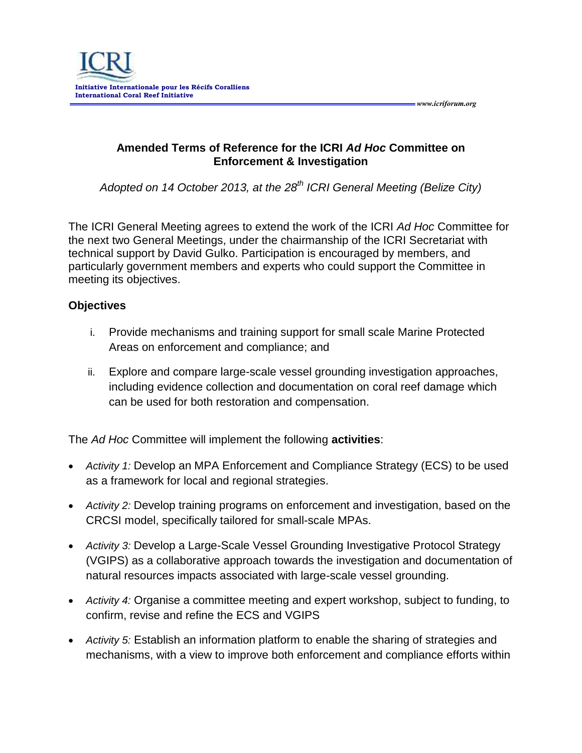

**Amended Terms of Reference for the ICRI** *Ad Hoc* **Committee on Enforcement & Investigation**

 *www.icriforum.org* 

*Adopted on 14 October 2013, at the 28th ICRI General Meeting (Belize City)*

The ICRI General Meeting agrees to extend the work of the ICRI *Ad Hoc* Committee for the next two General Meetings, under the chairmanship of the ICRI Secretariat with technical support by David Gulko. Participation is encouraged by members, and particularly government members and experts who could support the Committee in meeting its objectives.

## **Objectives**

- i. Provide mechanisms and training support for small scale Marine Protected Areas on enforcement and compliance; and
- ii. Explore and compare large-scale vessel grounding investigation approaches, including evidence collection and documentation on coral reef damage which can be used for both restoration and compensation.

The *Ad Hoc* Committee will implement the following **activities**:

- *Activity 1:* Develop an MPA Enforcement and Compliance Strategy (ECS) to be used as a framework for local and regional strategies.
- *Activity 2:* Develop training programs on enforcement and investigation, based on the CRCSI model, specifically tailored for small-scale MPAs.
- *Activity 3:* Develop a Large-Scale Vessel Grounding Investigative Protocol Strategy (VGIPS) as a collaborative approach towards the investigation and documentation of natural resources impacts associated with large-scale vessel grounding.
- *Activity 4:* Organise a committee meeting and expert workshop, subject to funding, to confirm, revise and refine the ECS and VGIPS
- *Activity 5:* Establish an information platform to enable the sharing of strategies and mechanisms, with a view to improve both enforcement and compliance efforts within